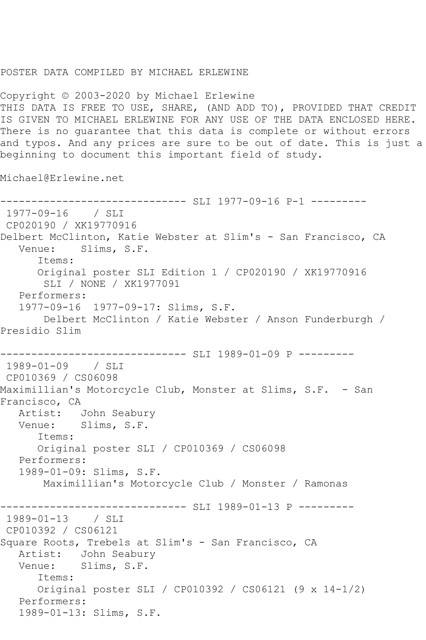## POSTER DATA COMPILED BY MICHAEL ERLEWINE

Copyright © 2003-2020 by Michael Erlewine THIS DATA IS FREE TO USE, SHARE, (AND ADD TO), PROVIDED THAT CREDIT IS GIVEN TO MICHAEL ERLEWINE FOR ANY USE OF THE DATA ENCLOSED HERE. There is no guarantee that this data is complete or without errors and typos. And any prices are sure to be out of date. This is just a beginning to document this important field of study.

Michael@Erlewine.net

------------------------------ SLI 1977-09-16 P-1 --------- 1977-09-16 / SLI CP020190 / XK19770916 Delbert McClinton, Katie Webster at Slim's - San Francisco, CA Venue: Slims, S.F. Items: Original poster SLI Edition 1 / CP020190 / XK19770916 SLI / NONE / XK1977091 Performers: 1977-09-16 1977-09-17: Slims, S.F. Delbert McClinton / Katie Webster / Anson Funderburgh / Presidio Slim ------------------------------ SLI 1989-01-09 P --------- 1989-01-09 / SLI CP010369 / CS06098 Maximillian's Motorcycle Club, Monster at Slims, S.F. - San Francisco, CA Artist: John Seabury Venue: Slims, S.F. Items: Original poster SLI / CP010369 / CS06098 Performers: 1989-01-09: Slims, S.F. Maximillian's Motorcycle Club / Monster / Ramonas ------------ SLI 1989-01-13 P ----------1989-01-13 / SLI CP010392 / CS06121 Square Roots, Trebels at Slim's - San Francisco, CA Artist: John Seabury Venue: Slims, S.F. Items: Original poster SLI / CP010392 / CS06121 (9 x 14-1/2) Performers: 1989-01-13: Slims, S.F.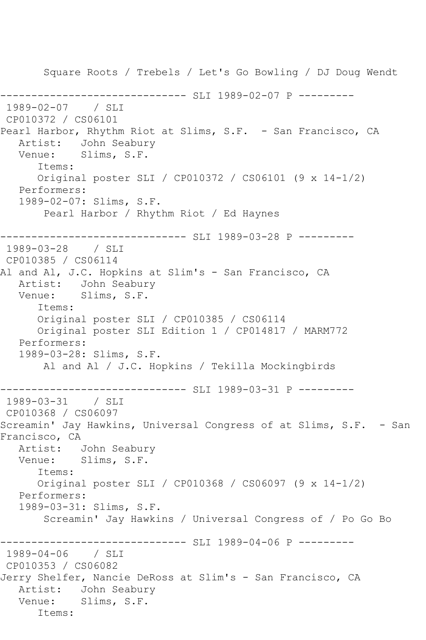Square Roots / Trebels / Let's Go Bowling / DJ Doug Wendt -------------- SLI 1989-02-07 P ---------1989-02-07 / SLI CP010372 / CS06101 Pearl Harbor, Rhythm Riot at Slims, S.F. - San Francisco, CA Artist: John Seabury Venue: Slims, S.F. Items: Original poster SLI / CP010372 / CS06101 (9 x 14-1/2) Performers: 1989-02-07: Slims, S.F. Pearl Harbor / Rhythm Riot / Ed Haynes ------------------------------ SLI 1989-03-28 P --------- 1989-03-28 / SLI CP010385 / CS06114 Al and Al, J.C. Hopkins at Slim's - San Francisco, CA Artist: John Seabury Venue: Slims, S.F. Items: Original poster SLI / CP010385 / CS06114 Original poster SLI Edition 1 / CP014817 / MARM772 Performers: 1989-03-28: Slims, S.F. Al and Al / J.C. Hopkins / Tekilla Mockingbirds ------------------------------ SLI 1989-03-31 P --------- 1989-03-31 CP010368 / CS06097 Screamin' Jay Hawkins, Universal Congress of at Slims, S.F. - San Francisco, CA Artist: John Seabury<br>Venue: Slims, S.F. Slims, S.F. Items: Original poster SLI / CP010368 / CS06097 (9 x 14-1/2) Performers: 1989-03-31: Slims, S.F. Screamin' Jay Hawkins / Universal Congress of / Po Go Bo ------------ SLI 1989-04-06 P ----------1989-04-06 / SLI CP010353 / CS06082 Jerry Shelfer, Nancie DeRoss at Slim's - San Francisco, CA Artist: John Seabury Venue: Slims, S.F. Items: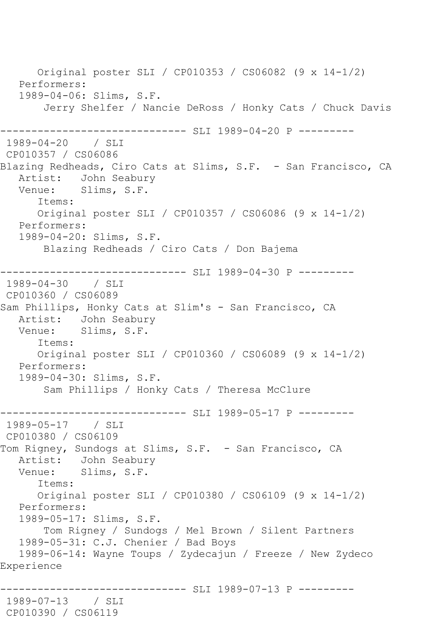Original poster SLI / CP010353 / CS06082 (9 x 14-1/2) Performers: 1989-04-06: Slims, S.F. Jerry Shelfer / Nancie DeRoss / Honky Cats / Chuck Davis ----------- SLI 1989-04-20 P ---------1989-04-20 / SLI CP010357 / CS06086 Blazing Redheads, Ciro Cats at Slims, S.F. - San Francisco, CA Artist: John Seabury<br>Venue: Slims, S.F. Slims, S.F. Items: Original poster SLI / CP010357 / CS06086 (9 x 14-1/2) Performers: 1989-04-20: Slims, S.F. Blazing Redheads / Ciro Cats / Don Bajema ------------------------------ SLI 1989-04-30 P --------- 1989-04-30 / SLI CP010360 / CS06089 Sam Phillips, Honky Cats at Slim's - San Francisco, CA Artist: John Seabury Venue: Slims, S.F. Items: Original poster SLI / CP010360 / CS06089 (9 x 14-1/2) Performers: 1989-04-30: Slims, S.F. Sam Phillips / Honky Cats / Theresa McClure ------------------------------ SLI 1989-05-17 P --------- 1989-05-17 / SLI CP010380 / CS06109 Tom Rigney, Sundogs at Slims, S.F. - San Francisco, CA Artist: John Seabury Venue: Slims, S.F. Items: Original poster SLI / CP010380 / CS06109 (9 x 14-1/2) Performers: 1989-05-17: Slims, S.F. Tom Rigney / Sundogs / Mel Brown / Silent Partners 1989-05-31: C.J. Chenier / Bad Boys 1989-06-14: Wayne Toups / Zydecajun / Freeze / New Zydeco Experience ------------------------------ SLI 1989-07-13 P --------- 1989-07-13 / SLI CP010390 / CS06119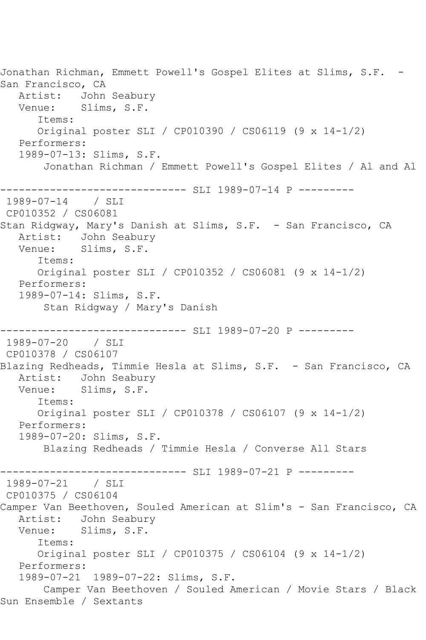Jonathan Richman, Emmett Powell's Gospel Elites at Slims, S.F. -San Francisco, CA Artist: John Seabury Venue: Slims, S.F. Items: Original poster SLI / CP010390 / CS06119 (9 x 14-1/2) Performers: 1989-07-13: Slims, S.F. Jonathan Richman / Emmett Powell's Gospel Elites / Al and Al ------------------------------ SLI 1989-07-14 P --------- 1989-07-14 / SLI CP010352 / CS06081 Stan Ridgway, Mary's Danish at Slims, S.F. - San Francisco, CA Artist: John Seabury Venue: Slims, S.F. Items: Original poster SLI / CP010352 / CS06081 (9 x 14-1/2) Performers: 1989-07-14: Slims, S.F. Stan Ridgway / Mary's Danish ------------------------------ SLI 1989-07-20 P --------- 1989-07-20 / SLI CP010378 / CS06107 Blazing Redheads, Timmie Hesla at Slims, S.F. - San Francisco, CA Artist: John Seabury Venue: Slims, S.F. Items: Original poster SLI / CP010378 / CS06107 (9 x 14-1/2) Performers: 1989-07-20: Slims, S.F. Blazing Redheads / Timmie Hesla / Converse All Stars ----------- SLI 1989-07-21 P ---------1989-07-21 / SLI CP010375 / CS06104 Camper Van Beethoven, Souled American at Slim's - San Francisco, CA Artist: John Seabury<br>Venue: Slims, S.F. Slims, S.F. Items: Original poster SLI / CP010375 / CS06104 (9 x 14-1/2) Performers: 1989-07-21 1989-07-22: Slims, S.F. Camper Van Beethoven / Souled American / Movie Stars / Black Sun Ensemble / Sextants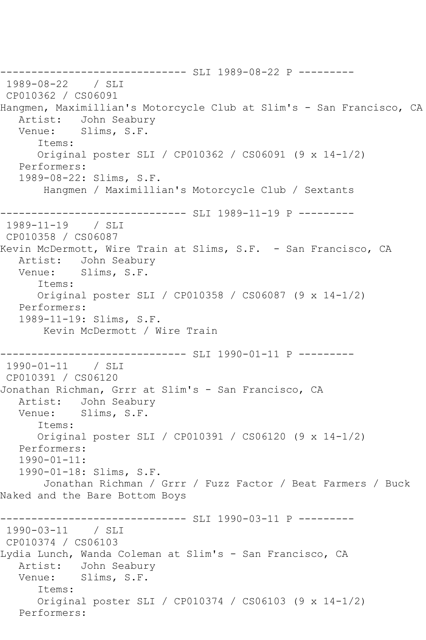------------------------------ SLI 1989-08-22 P --------- 1989-08-22 / SLI CP010362 / CS06091 Hangmen, Maximillian's Motorcycle Club at Slim's - San Francisco, CA Artist: John Seabury Venue: Slims, S.F. Items: Original poster SLI / CP010362 / CS06091 (9 x 14-1/2) Performers: 1989-08-22: Slims, S.F. Hangmen / Maximillian's Motorcycle Club / Sextants ------------------------------ SLI 1989-11-19 P --------- 1989-11-19 / SLI CP010358 / CS06087 Kevin McDermott, Wire Train at Slims, S.F. - San Francisco, CA Artist: John Seabury Venue: Slims, S.F. Items: Original poster SLI / CP010358 / CS06087 (9 x 14-1/2) Performers: 1989-11-19: Slims, S.F. Kevin McDermott / Wire Train ------------------------------ SLI 1990-01-11 P ---------  $1990 - 01 - 11$ CP010391 / CS06120 Jonathan Richman, Grrr at Slim's - San Francisco, CA Artist: John Seabury Venue: Slims, S.F. Items: Original poster SLI / CP010391 / CS06120 (9 x 14-1/2) Performers: 1990-01-11: 1990-01-18: Slims, S.F. Jonathan Richman / Grrr / Fuzz Factor / Beat Farmers / Buck Naked and the Bare Bottom Boys ------------------------------ SLI 1990-03-11 P --------- 1990-03-11 / SLI CP010374 / CS06103 Lydia Lunch, Wanda Coleman at Slim's - San Francisco, CA Artist: John Seabury Venue: Slims, S.F. Items: Original poster SLI / CP010374 / CS06103 (9 x 14-1/2) Performers: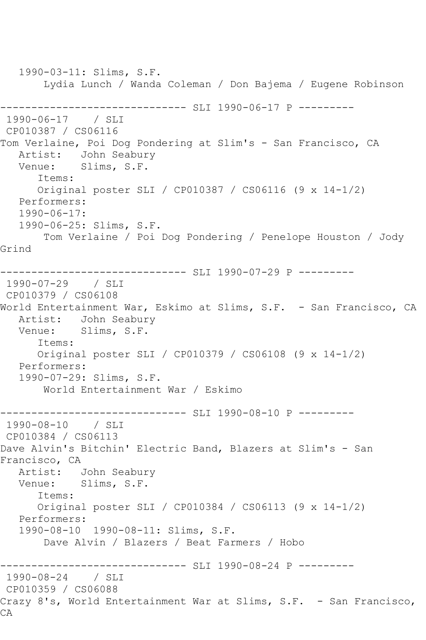1990-03-11: Slims, S.F. Lydia Lunch / Wanda Coleman / Don Bajema / Eugene Robinson ------------------------------ SLI 1990-06-17 P --------- 1990-06-17 / SLI CP010387 / CS06116 Tom Verlaine, Poi Dog Pondering at Slim's - San Francisco, CA Artist: John Seabury Venue: Slims, S.F. Items: Original poster SLI / CP010387 / CS06116 (9 x 14-1/2) Performers: 1990-06-17: 1990-06-25: Slims, S.F. Tom Verlaine / Poi Dog Pondering / Penelope Houston / Jody Grind ------------------------------ SLI 1990-07-29 P --------- 1990-07-29 / SLI CP010379 / CS06108 World Entertainment War, Eskimo at Slims, S.F. - San Francisco, CA Artist: John Seabury Venue: Slims, S.F. Items: Original poster SLI / CP010379 / CS06108 (9 x 14-1/2) Performers: 1990-07-29: Slims, S.F. World Entertainment War / Eskimo ------------------------------ SLI 1990-08-10 P --------- 1990-08-10 / SLI CP010384 / CS06113 Dave Alvin's Bitchin' Electric Band, Blazers at Slim's - San Francisco, CA Artist: John Seabury Venue: Slims, S.F. Items: Original poster SLI / CP010384 / CS06113 (9 x 14-1/2) Performers: 1990-08-10 1990-08-11: Slims, S.F. Dave Alvin / Blazers / Beat Farmers / Hobo ------------------------------ SLI 1990-08-24 P --------- 1990-08-24 / SLI CP010359 / CS06088 Crazy 8's, World Entertainment War at Slims, S.F. - San Francisco, CA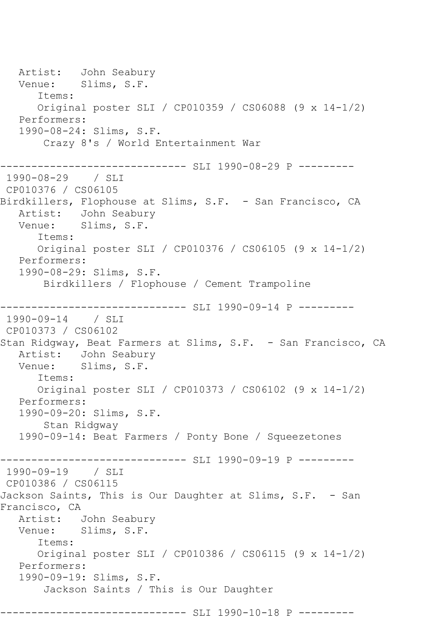Artist: John Seabury Venue: Slims, S.F. Items: Original poster SLI / CP010359 / CS06088 (9 x 14-1/2) Performers: 1990-08-24: Slims, S.F. Crazy 8's / World Entertainment War ------------ SLI 1990-08-29 P ----------1990-08-29 / SLI CP010376 / CS06105 Birdkillers, Flophouse at Slims, S.F. - San Francisco, CA Artist: John Seabury Venue: Slims, S.F. Items: Original poster SLI / CP010376 / CS06105 (9 x 14-1/2) Performers: 1990-08-29: Slims, S.F. Birdkillers / Flophouse / Cement Trampoline ------------------------------ SLI 1990-09-14 P --------- 1990-09-14 / SLI CP010373 / CS06102 Stan Ridgway, Beat Farmers at Slims, S.F. - San Francisco, CA Artist: John Seabury<br>Venue: Slims, S.F. Slims, S.F. Items: Original poster SLI / CP010373 / CS06102 (9 x 14-1/2) Performers: 1990-09-20: Slims, S.F. Stan Ridgway 1990-09-14: Beat Farmers / Ponty Bone / Squeezetones ------------------------------ SLI 1990-09-19 P --------- 1990-09-19 / SLI CP010386 / CS06115 Jackson Saints, This is Our Daughter at Slims, S.F. - San Francisco, CA Artist: John Seabury<br>Venue: Slims, S.F. Slims, S.F. Items: Original poster SLI / CP010386 / CS06115 (9 x 14-1/2) Performers: 1990-09-19: Slims, S.F. Jackson Saints / This is Our Daughter ------------------------------ SLI 1990-10-18 P ---------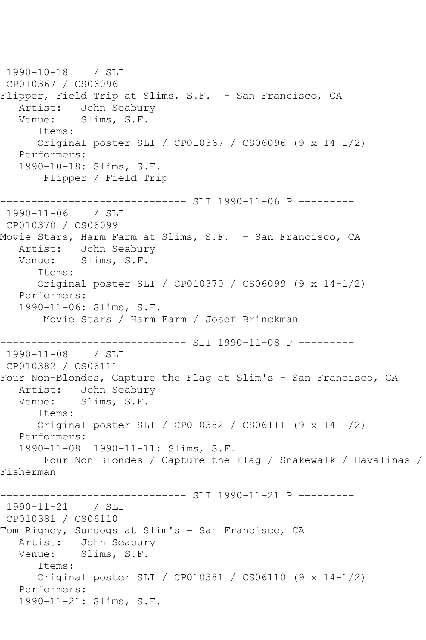```
1990-10-18 / SLI 
CP010367 / CS06096
Flipper, Field Trip at Slims, S.F. - San Francisco, CA
  Artist: John Seabury<br>Venue: Slims, S.F.
            Slims, S.F.
       Items:
      Original poster SLI / CP010367 / CS06096 (9 x 14-1/2)
   Performers:
   1990-10-18: Slims, S.F.
        Flipper / Field Trip
   ------------------------------ SLI 1990-11-06 P ---------
1990-11-06 / SLI 
CP010370 / CS06099
Movie Stars, Harm Farm at Slims, S.F. - San Francisco, CA
   Artist: John Seabury
   Venue: Slims, S.F.
       Items:
       Original poster SLI / CP010370 / CS06099 (9 x 14-1/2)
   Performers:
   1990-11-06: Slims, S.F.
        Movie Stars / Harm Farm / Josef Brinckman
------------------------------ SLI 1990-11-08 P ---------
1990-11-08 / SLI 
CP010382 / CS06111
Four Non-Blondes, Capture the Flag at Slim's - San Francisco, CA
   Artist: John Seabury
   Venue: Slims, S.F.
      Items:
      Original poster SLI / CP010382 / CS06111 (9 x 14-1/2)
   Performers:
   1990-11-08 1990-11-11: Slims, S.F.
       Four Non-Blondes / Capture the Flag / Snakewalk / Havalinas / 
Fisherman
------------------------------ SLI 1990-11-21 P ---------
1990-11-21 / SLI 
CP010381 / CS06110
Tom Rigney, Sundogs at Slim's - San Francisco, CA
   Artist: John Seabury
   Venue: Slims, S.F.
      Items:
      Original poster SLI / CP010381 / CS06110 (9 x 14-1/2)
   Performers:
   1990-11-21: Slims, S.F.
```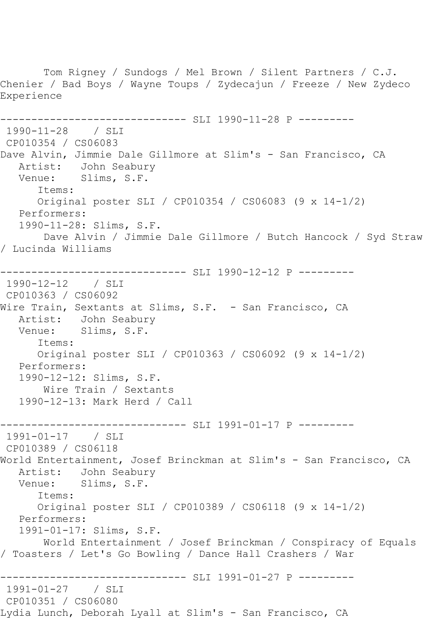Tom Rigney / Sundogs / Mel Brown / Silent Partners / C.J. Chenier / Bad Boys / Wayne Toups / Zydecajun / Freeze / New Zydeco Experience ------------------------------ SLI 1990-11-28 P --------- 1990-11-28 / SLI CP010354 / CS06083 Dave Alvin, Jimmie Dale Gillmore at Slim's - San Francisco, CA Artist: John Seabury Venue: Slims, S.F. Items: Original poster SLI / CP010354 / CS06083 (9 x 14-1/2) Performers: 1990-11-28: Slims, S.F. Dave Alvin / Jimmie Dale Gillmore / Butch Hancock / Syd Straw / Lucinda Williams ------------------------------ SLI 1990-12-12 P --------- 1990-12-12 / SLI CP010363 / CS06092 Wire Train, Sextants at Slims, S.F. - San Francisco, CA Artist: John Seabury Venue: Slims, S.F. Items: Original poster SLI / CP010363 / CS06092 (9 x 14-1/2) Performers: 1990-12-12: Slims, S.F. Wire Train / Sextants 1990-12-13: Mark Herd / Call ------------------------------ SLI 1991-01-17 P --------- 1991-01-17 / SLI CP010389 / CS06118 World Entertainment, Josef Brinckman at Slim's - San Francisco, CA Artist: John Seabury<br>Venue: Slims, S.F. Slims, S.F. Items: Original poster SLI / CP010389 / CS06118 (9 x 14-1/2) Performers: 1991-01-17: Slims, S.F. World Entertainment / Josef Brinckman / Conspiracy of Equals / Toasters / Let's Go Bowling / Dance Hall Crashers / War ----------- SLI 1991-01-27 P ----------1991-01-27 / SLI CP010351 / CS06080 Lydia Lunch, Deborah Lyall at Slim's - San Francisco, CA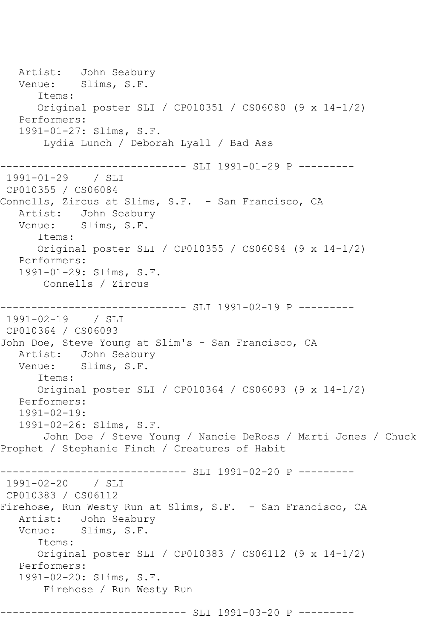Artist: John Seabury Venue: Slims, S.F. Items: Original poster SLI / CP010351 / CS06080 (9 x 14-1/2) Performers: 1991-01-27: Slims, S.F. Lydia Lunch / Deborah Lyall / Bad Ass ------------- SLI 1991-01-29 P ---------1991-01-29 / SLI CP010355 / CS06084 Connells, Zircus at Slims, S.F. - San Francisco, CA Artist: John Seabury Venue: Slims, S.F. Items: Original poster SLI / CP010355 / CS06084 (9 x 14-1/2) Performers: 1991-01-29: Slims, S.F. Connells / Zircus ------------------------------ SLI 1991-02-19 P --------- 1991-02-19 / SLI CP010364 / CS06093 John Doe, Steve Young at Slim's - San Francisco, CA Artist: John Seabury<br>Venue: Slims, S.F. Slims, S.F. Items: Original poster SLI / CP010364 / CS06093 (9 x 14-1/2) Performers: 1991-02-19: 1991-02-26: Slims, S.F. John Doe / Steve Young / Nancie DeRoss / Marti Jones / Chuck Prophet / Stephanie Finch / Creatures of Habit ------------------------------ SLI 1991-02-20 P --------- 1991-02-20 / SLI CP010383 / CS06112 Firehose, Run Westy Run at Slims, S.F. - San Francisco, CA Artist: John Seabury<br>Venue: Slims, S.F. Slims, S.F. Items: Original poster SLI / CP010383 / CS06112 (9 x 14-1/2) Performers: 1991-02-20: Slims, S.F. Firehose / Run Westy Run ------------------------------ SLI 1991-03-20 P ---------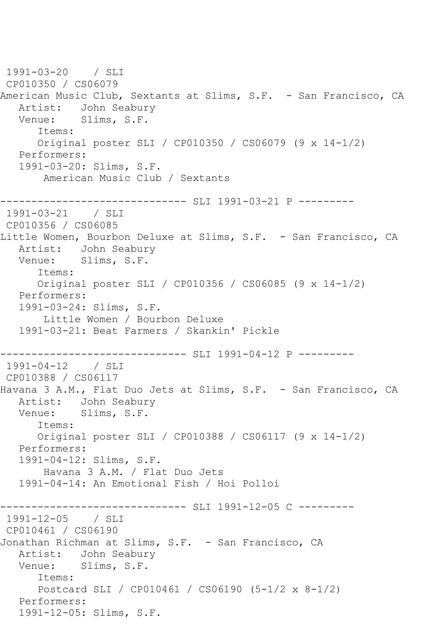```
1991-03-20 / SLI 
CP010350 / CS06079
American Music Club, Sextants at Slims, S.F. - San Francisco, CA
  Artist: John Seabury<br>Venue: Slims, S.F.
            Slims, S.F.
       Items:
       Original poster SLI / CP010350 / CS06079 (9 x 14-1/2)
   Performers:
   1991-03-20: Slims, S.F.
        American Music Club / Sextants
         --------------------- SLI 1991-03-21 P ---------<br>21   / SLI
1991 - 03 - 21CP010356 / CS06085
Little Women, Bourbon Deluxe at Slims, S.F. - San Francisco, CA
   Artist: John Seabury
   Venue: Slims, S.F.
       Items:
       Original poster SLI / CP010356 / CS06085 (9 x 14-1/2)
   Performers:
    1991-03-24: Slims, S.F.
        Little Women / Bourbon Deluxe
    1991-03-21: Beat Farmers / Skankin' Pickle
                   ------------ SLI 1991-04-12 P ---------
1991-04-12 / SLI 
CP010388 / CS06117
Havana 3 A.M., Flat Duo Jets at Slims, S.F. - San Francisco, CA
   Artist: John Seabury
   Venue: Slims, S.F.
       Items:
       Original poster SLI / CP010388 / CS06117 (9 x 14-1/2)
   Performers:
    1991-04-12: Slims, S.F.
        Havana 3 A.M. / Flat Duo Jets
    1991-04-14: An Emotional Fish / Hoi Polloi
                   ------------ SLI 1991-12-05 C ----------
1991-12-05 / SLI 
CP010461 / CS06190
Jonathan Richman at Slims, S.F. - San Francisco, CA
   Artist: John Seabury
   Venue: Slims, S.F.
       Items:
       Postcard SLI / CP010461 / CS06190 (5-1/2 x 8-1/2)
   Performers:
   1991-12-05: Slims, S.F.
```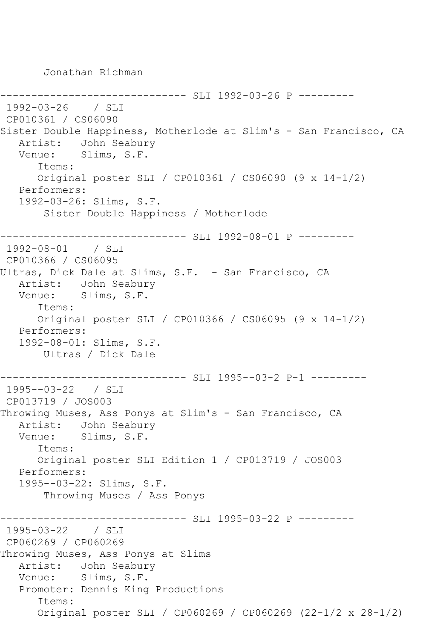Jonathan Richman

```
----------- SLI 1992-03-26 P ---------
1992-03-26 / SLI 
CP010361 / CS06090
Sister Double Happiness, Motherlode at Slim's - San Francisco, CA
   Artist: John Seabury
   Venue: Slims, S.F.
       Items:
       Original poster SLI / CP010361 / CS06090 (9 x 14-1/2)
   Performers:
    1992-03-26: Slims, S.F.
        Sister Double Happiness / Motherlode
         ------------------------------ SLI 1992-08-01 P ---------
1992-08-01 / SLI 
CP010366 / CS06095
Ultras, Dick Dale at Slims, S.F. - San Francisco, CA
   Artist: John Seabury
   Venue: Slims, S.F.
       Items:
       Original poster SLI / CP010366 / CS06095 (9 x 14-1/2)
   Performers:
    1992-08-01: Slims, S.F.
        Ultras / Dick Dale
  ------------------------------ SLI 1995--03-2 P-1 ---------
1995--03-22 / SLI 
CP013719 / JOS003
Throwing Muses, Ass Ponys at Slim's - San Francisco, CA
   Artist: John Seabury
   Venue: Slims, S.F.
       Items:
       Original poster SLI Edition 1 / CP013719 / JOS003
   Performers:
   1995--03-22: Slims, S.F.
        Throwing Muses / Ass Ponys
                ------------------------------ SLI 1995-03-22 P ---------
1995-03-22 / SLI 
CP060269 / CP060269
Throwing Muses, Ass Ponys at Slims
  Artist: John Seabury<br>Venue: Slims, S.F.
            Slims, S.F.
   Promoter: Dennis King Productions
       Items:
       Original poster SLI / CP060269 / CP060269 (22-1/2 x 28-1/2)
```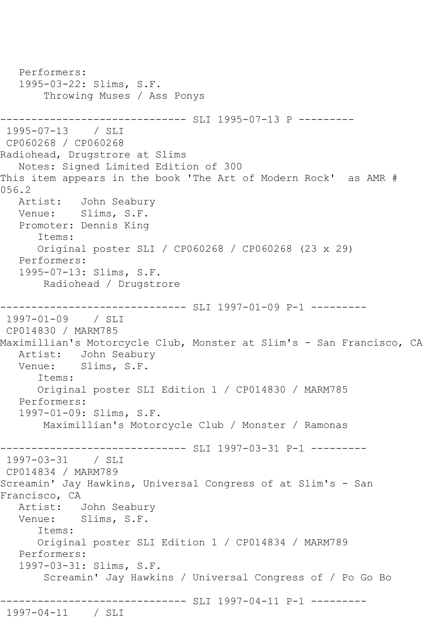```
 Performers:
   1995-03-22: Slims, S.F.
        Throwing Muses / Ass Ponys
------------------------------ SLI 1995-07-13 P ---------
1995-07-13 / SLI 
CP060268 / CP060268
Radiohead, Drugstrore at Slims
   Notes: Signed Limited Edition of 300
This item appears in the book 'The Art of Modern Rock' as AMR # 
056.2<br>: Artist
           John Seabury
   Venue: Slims, S.F.
   Promoter: Dennis King
       Items:
       Original poster SLI / CP060268 / CP060268 (23 x 29)
   Performers:
   1995-07-13: Slims, S.F.
        Radiohead / Drugstrore
------------------------------ SLI 1997-01-09 P-1 ---------
1997-01-09 / SLI 
CP014830 / MARM785
Maximillian's Motorcycle Club, Monster at Slim's - San Francisco, CA
  Artist: John Seabury<br>Venue: Slims, S.F.
            Slims, S.F.
       Items:
      Original poster SLI Edition 1 / CP014830 / MARM785
   Performers:
   1997-01-09: Slims, S.F.
       Maximillian's Motorcycle Club / Monster / Ramonas
------------------------------ SLI 1997-03-31 P-1 ---------
1997-03-31 / SLI 
CP014834 / MARM789
Screamin' Jay Hawkins, Universal Congress of at Slim's - San 
Francisco, CA
   Artist: John Seabury
   Venue: Slims, S.F.
       Items:
      Original poster SLI Edition 1 / CP014834 / MARM789
   Performers:
   1997-03-31: Slims, S.F.
        Screamin' Jay Hawkins / Universal Congress of / Po Go Bo
   ------------------------------ SLI 1997-04-11 P-1 ---------
1997-04-11 / SLI
```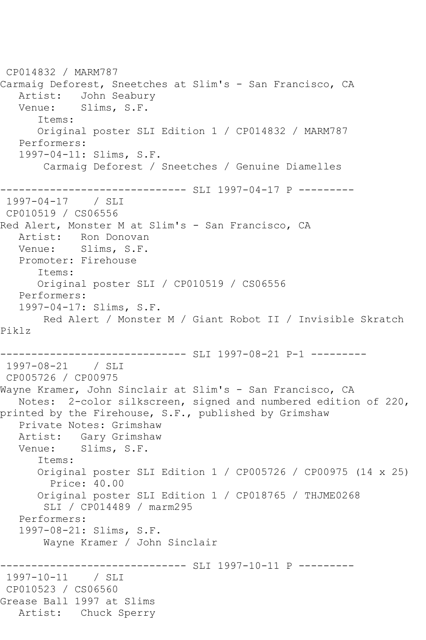CP014832 / MARM787 Carmaig Deforest, Sneetches at Slim's - San Francisco, CA Artist: John Seabury Venue: Slims, S.F. Items: Original poster SLI Edition 1 / CP014832 / MARM787 Performers: 1997-04-11: Slims, S.F. Carmaig Deforest / Sneetches / Genuine Diamelles ------------------------------ SLI 1997-04-17 P --------- 1997-04-17 / SLI CP010519 / CS06556 Red Alert, Monster M at Slim's - San Francisco, CA Artist: Ron Donovan Venue: Slims, S.F. Promoter: Firehouse Items: Original poster SLI / CP010519 / CS06556 Performers: 1997-04-17: Slims, S.F. Red Alert / Monster M / Giant Robot II / Invisible Skratch Piklz ------------------------------ SLI 1997-08-21 P-1 --------- 1997-08-21 / SLI CP005726 / CP00975 Wayne Kramer, John Sinclair at Slim's - San Francisco, CA Notes: 2-color silkscreen, signed and numbered edition of 220, printed by the Firehouse, S.F., published by Grimshaw Private Notes: Grimshaw Artist: Gary Grimshaw Venue: Slims, S.F. Items: Original poster SLI Edition 1 / CP005726 / CP00975 (14 x 25) Price: 40.00 Original poster SLI Edition 1 / CP018765 / THJME0268 SLI / CP014489 / marm295 Performers: 1997-08-21: Slims, S.F. Wayne Kramer / John Sinclair --------------------------------- SLI 1997-10-11 P ----------<br>1997-10-11 / SLI 1997-10-11 CP010523 / CS06560 Grease Ball 1997 at Slims Artist: Chuck Sperry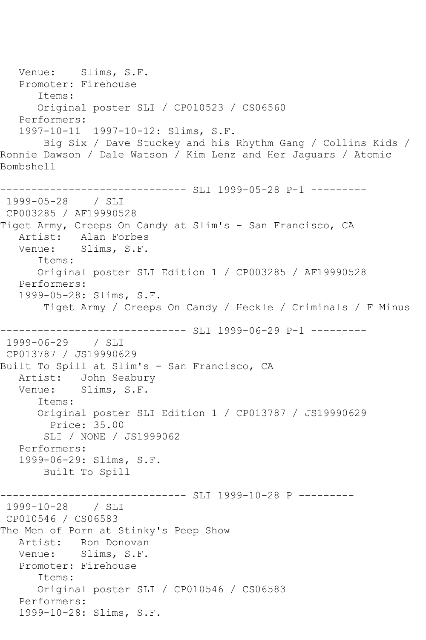Venue: Slims, S.F. Promoter: Firehouse Items: Original poster SLI / CP010523 / CS06560 Performers: 1997-10-11 1997-10-12: Slims, S.F. Big Six / Dave Stuckey and his Rhythm Gang / Collins Kids / Ronnie Dawson / Dale Watson / Kim Lenz and Her Jaguars / Atomic Bombshell ----------------------------- SLI 1999-05-28 P-1 ----------1999-05-28 / SLI CP003285 / AF19990528 Tiget Army, Creeps On Candy at Slim's - San Francisco, CA Artist: Alan Forbes Venue: Slims, S.F. Items: Original poster SLI Edition 1 / CP003285 / AF19990528 Performers: 1999-05-28: Slims, S.F. Tiget Army / Creeps On Candy / Heckle / Criminals / F Minus ------------------------------ SLI 1999-06-29 P-1 --------- 1999-06-29 / SLI CP013787 / JS19990629 Built To Spill at Slim's - San Francisco, CA Artist: John Seabury Venue: Slims, S.F. Items: Original poster SLI Edition 1 / CP013787 / JS19990629 Price: 35.00 SLI / NONE / JS1999062 Performers: 1999-06-29: Slims, S.F. Built To Spill ------------------------------ SLI 1999-10-28 P --------- 1999-10-28 / SLI CP010546 / CS06583 The Men of Porn at Stinky's Peep Show Artist: Ron Donovan Venue: Slims, S.F. Promoter: Firehouse Items: Original poster SLI / CP010546 / CS06583 Performers: 1999-10-28: Slims, S.F.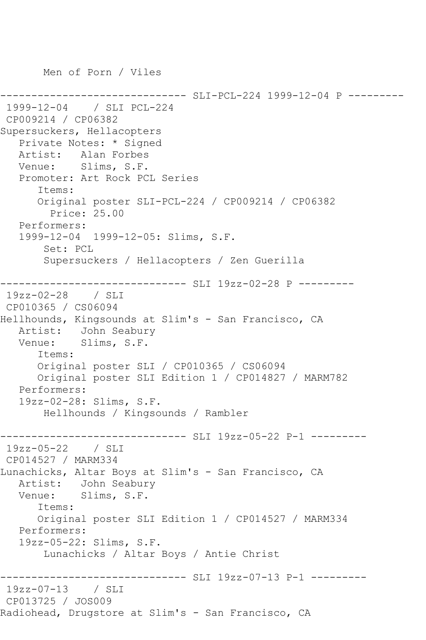Men of Porn / Viles

---------- SLI-PCL-224 1999-12-04 P ---------1999-12-04 / SLI PCL-224 CP009214 / CP06382 Supersuckers, Hellacopters Private Notes: \* Signed Artist: Alan Forbes Venue: Slims, S.F. Promoter: Art Rock PCL Series Items: Original poster SLI-PCL-224 / CP009214 / CP06382 Price: 25.00 Performers: 1999-12-04 1999-12-05: Slims, S.F. Set: PCL Supersuckers / Hellacopters / Zen Guerilla ------------------------------ SLI 19zz-02-28 P --------- 19zz-02-28 / SLI CP010365 / CS06094 Hellhounds, Kingsounds at Slim's - San Francisco, CA Artist: John Seabury<br>Venue: Slims, S.F. Slims, S.F. Items: Original poster SLI / CP010365 / CS06094 Original poster SLI Edition 1 / CP014827 / MARM782 Performers: 19zz-02-28: Slims, S.F. Hellhounds / Kingsounds / Rambler ------------------------------ SLI 19zz-05-22 P-1 --------- 19zz-05-22 / SLI CP014527 / MARM334 Lunachicks, Altar Boys at Slim's - San Francisco, CA Artist: John Seabury<br>Venue: Slims, S.F. Slims, S.F. Items: Original poster SLI Edition 1 / CP014527 / MARM334 Performers: 19zz-05-22: Slims, S.F. Lunachicks / Altar Boys / Antie Christ ------------------------------ SLI 19zz-07-13 P-1 --------- 19zz-07-13 / SLI CP013725 / JOS009 Radiohead, Drugstore at Slim's - San Francisco, CA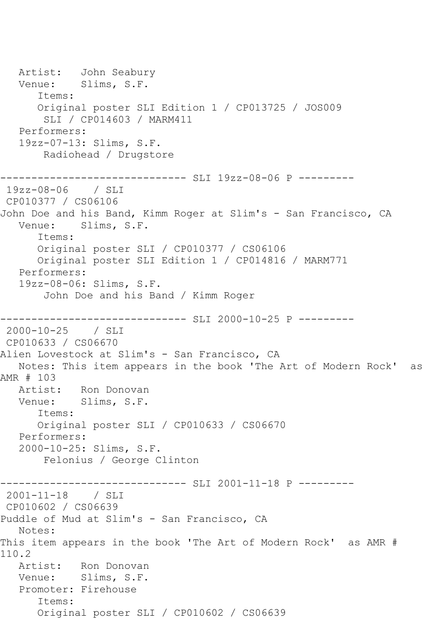Artist: John Seabury Venue: Slims, S.F. Items: Original poster SLI Edition 1 / CP013725 / JOS009 SLI / CP014603 / MARM411 Performers: 19zz-07-13: Slims, S.F. Radiohead / Drugstore --------------- SLI 19zz-08-06 P ---------19zz-08-06 / SLI CP010377 / CS06106 John Doe and his Band, Kimm Roger at Slim's - San Francisco, CA<br>Venue: Slims, S.F. Slims, S.F. Items: Original poster SLI / CP010377 / CS06106 Original poster SLI Edition 1 / CP014816 / MARM771 Performers: 19zz-08-06: Slims, S.F. John Doe and his Band / Kimm Roger ------------ SLI 2000-10-25 P ----------2000-10-25 / SLI CP010633 / CS06670 Alien Lovestock at Slim's - San Francisco, CA Notes: This item appears in the book 'The Art of Modern Rock' as AMR # 103<br>Artist: Ron Donovan Venue: Slims, S.F. Items: Original poster SLI / CP010633 / CS06670 Performers: 2000-10-25: Slims, S.F. Felonius / George Clinton ------------- SLI 2001-11-18 P ---------2001-11-18 / SLI CP010602 / CS06639 Puddle of Mud at Slim's - San Francisco, CA Notes: This item appears in the book 'The Art of Modern Rock' as AMR # 110.2<br>Artist: Ron Donovan Venue: Slims, S.F. Promoter: Firehouse Items: Original poster SLI / CP010602 / CS06639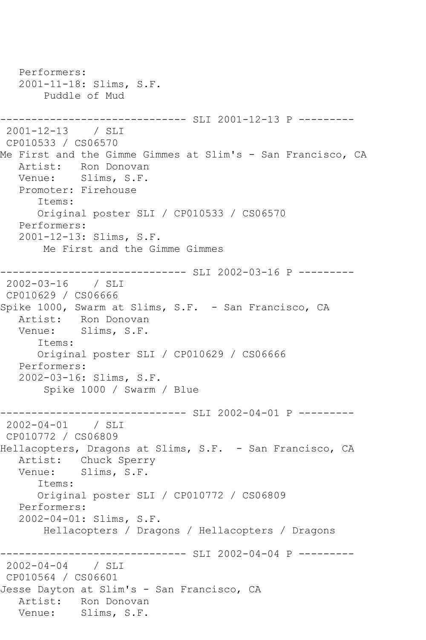Performers: 2001-11-18: Slims, S.F. Puddle of Mud ------------------------------ SLI 2001-12-13 P --------- 2001-12-13 / SLI CP010533 / CS06570 Me First and the Gimme Gimmes at Slim's - San Francisco, CA Artist: Ron Donovan Venue: Slims, S.F. Promoter: Firehouse Items: Original poster SLI / CP010533 / CS06570 Performers: 2001-12-13: Slims, S.F. Me First and the Gimme Gimmes ------------------------------ SLI 2002-03-16 P --------- 2002-03-16 / SLI CP010629 / CS06666 Spike 1000, Swarm at Slims, S.F. - San Francisco, CA Artist: Ron Donovan Venue: Slims, S.F. Items: Original poster SLI / CP010629 / CS06666 Performers: 2002-03-16: Slims, S.F. Spike 1000 / Swarm / Blue ------------------------------ SLI 2002-04-01 P --------- 2002-04-01 / SLI CP010772 / CS06809 Hellacopters, Dragons at Slims, S.F. - San Francisco, CA Artist: Chuck Sperry Venue: Slims, S.F. Items: Original poster SLI / CP010772 / CS06809 Performers: 2002-04-01: Slims, S.F. Hellacopters / Dragons / Hellacopters / Dragons ------------------------------ SLI 2002-04-04 P --------- 2002-04-04 / SLI CP010564 / CS06601 Jesse Dayton at Slim's - San Francisco, CA Artist: Ron Donovan Venue: Slims, S.F.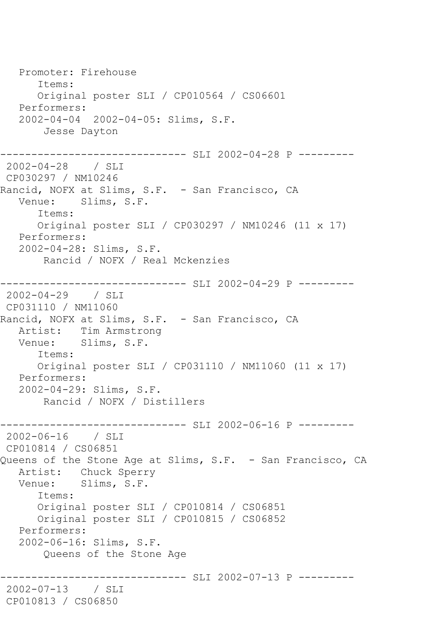Promoter: Firehouse Items: Original poster SLI / CP010564 / CS06601 Performers: 2002-04-04 2002-04-05: Slims, S.F. Jesse Dayton ------------------------------ SLI 2002-04-28 P --------- 2002-04-28 / SLI CP030297 / NM10246 Rancid, NOFX at Slims, S.F. - San Francisco, CA Venue: Slims, S.F. Items: Original poster SLI / CP030297 / NM10246 (11 x 17) Performers: 2002-04-28: Slims, S.F. Rancid / NOFX / Real Mckenzies ------------------------------ SLI 2002-04-29 P --------- 2002-04-29 / SLI CP031110 / NM11060 Rancid, NOFX at Slims, S.F. - San Francisco, CA Artist: Tim Armstrong Venue: Slims, S.F. Items: Original poster SLI / CP031110 / NM11060 (11 x 17) Performers: 2002-04-29: Slims, S.F. Rancid / NOFX / Distillers ------------------------------ SLI 2002-06-16 P --------- 2002-06-16 / SLI CP010814 / CS06851 Queens of the Stone Age at Slims, S.F. - San Francisco, CA Artist: Chuck Sperry Venue: Slims, S.F. Items: Original poster SLI / CP010814 / CS06851 Original poster SLI / CP010815 / CS06852 Performers: 2002-06-16: Slims, S.F. Queens of the Stone Age ----------- SLI 2002-07-13 P ---------2002-07-13 / SLI CP010813 / CS06850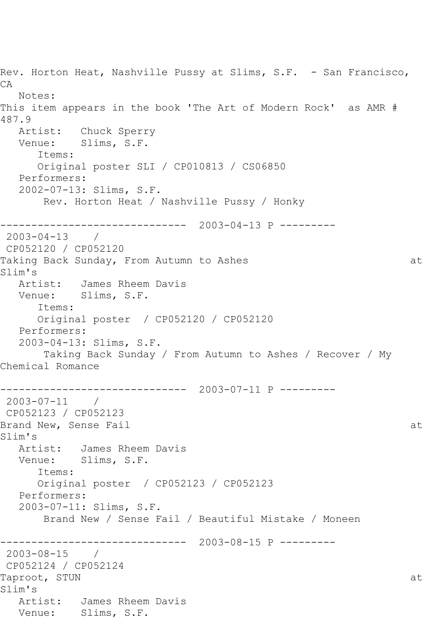Rev. Horton Heat, Nashville Pussy at Slims, S.F. - San Francisco, CA Notes: This item appears in the book 'The Art of Modern Rock' as AMR # 487.9<br>Artist: Chuck Sperry Venue: Slims, S.F. Items: Original poster SLI / CP010813 / CS06850 Performers: 2002-07-13: Slims, S.F. Rev. Horton Heat / Nashville Pussy / Honky ------------------------------ 2003-04-13 P --------- 2003-04-13 / CP052120 / CP052120 Taking Back Sunday, From Autumn to Ashes at Slim's<br>Artist: James Rheem Davis Venue: Slims, S.F. Items: Original poster / CP052120 / CP052120 Performers: 2003-04-13: Slims, S.F. Taking Back Sunday / From Autumn to Ashes / Recover / My Chemical Romance ------------------------------ 2003-07-11 P --------- 2003-07-11 / CP052123 / CP052123 Brand New, Sense Fail and the sense of the sense of the sense of the sense of the sense of the sense of the sense of the sense of the sense of the sense of the sense of the sense of the sense of the sense of the sense of t Slim's Artist: James Rheem Davis<br>Venue: Slims, S.F. Slims, S.F. Items: Original poster / CP052123 / CP052123 Performers: 2003-07-11: Slims, S.F. Brand New / Sense Fail / Beautiful Mistake / Moneen ------------------------------ 2003-08-15 P --------- 2003-08-15 / CP052124 / CP052124 Taproot, STUN at the set of the set of the set of the set of the set of the set of the set of the set of the set of the set of the set of the set of the set of the set of the set of the set of the set of the set of the set Slim's Artist: James Rheem Davis Venue: Slims, S.F.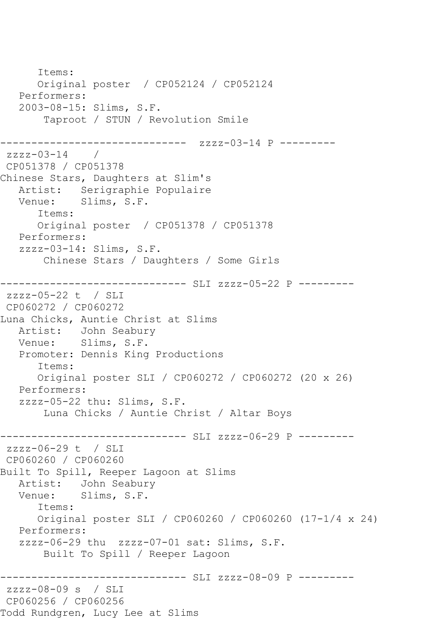Items: Original poster / CP052124 / CP052124 Performers: 2003-08-15: Slims, S.F. Taproot / STUN / Revolution Smile ------------------------------ zzzz-03-14 P -------- zzzz-03-14 / CP051378 / CP051378 Chinese Stars, Daughters at Slim's Artist: Serigraphie Populaire<br>Venue: Slims, S.F. Slims, S.F. Items: Original poster / CP051378 / CP051378 Performers: zzzz-03-14: Slims, S.F. Chinese Stars / Daughters / Some Girls ------------------------------ SLI zzzz-05-22 P -------- zzzz-05-22 t / SLI CP060272 / CP060272 Luna Chicks, Auntie Christ at Slims Artist: John Seabury Venue: Slims, S.F. Promoter: Dennis King Productions Items: Original poster SLI / CP060272 / CP060272 (20 x 26) Performers: zzzz-05-22 thu: Slims, S.F. Luna Chicks / Auntie Christ / Altar Boys ------------------------------ SLI zzzz-06-29 P -------- zzzz-06-29 t / SLI CP060260 / CP060260 Built To Spill, Reeper Lagoon at Slims Artist: John Seabury<br>Venue: Slims, S.F. Slims, S.F. Items: Original poster SLI / CP060260 / CP060260 (17-1/4 x 24) Performers: zzzz-06-29 thu zzzz-07-01 sat: Slims, S.F. Built To Spill / Reeper Lagoon ------------------------------ SLI zzzz-08-09 P -------- zzzz-08-09 s / SLI CP060256 / CP060256 Todd Rundgren, Lucy Lee at Slims